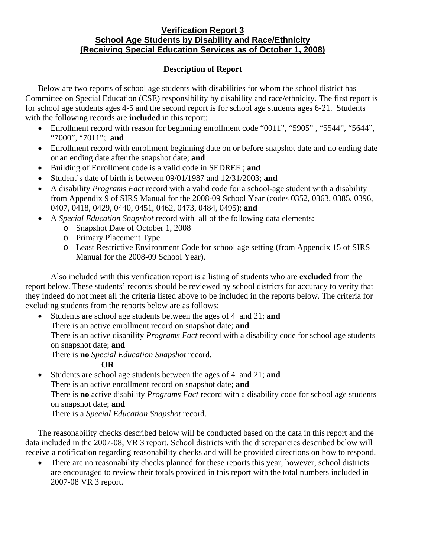### **Verification Report 3 School Age Students by Disability and Race/Ethnicity (Receiving Special Education Services as of October 1, 2008)**

# **Description of Report**

Below are two reports of school age students with disabilities for whom the school district has Committee on Special Education (CSE) responsibility by disability and race/ethnicity. The first report is for school age students ages 4-5 and the second report is for school age students ages 6-21. Students with the following records are **included** in this report:

- Enrollment record with reason for beginning enrollment code "0011", "5905", "5544", "5644", "7000", "7011"; **and**
- Enrollment record with enrollment beginning date on or before snapshot date and no ending date or an ending date after the snapshot date; **and**
- Building of Enrollment code is a valid code in SEDREF ; **and**
- Student's date of birth is between 09/01/1987 and 12/31/2003; **and**
- A disability *Programs Fact* record with a valid code for a school-age student with a disability from Appendix 9 of SIRS Manual for the 2008-09 School Year (codes 0352, 0363, 0385, 0396, 0407, 0418, 0429, 0440, 0451, 0462, 0473, 0484, 0495); **and**
- A *Special Education Snapshot* record with all of the following data elements:
	- o Snapshot Date of October 1, 2008
		- o Primary Placement Type
		- o Least Restrictive Environment Code for school age setting (from Appendix 15 of SIRS Manual for the 2008-09 School Year).

Also included with this verification report is a listing of students who are **excluded** from the report below. These students' records should be reviewed by school districts for accuracy to verify that they indeed do not meet all the criteria listed above to be included in the reports below. The criteria for excluding students from the reports below are as follows:

• Students are school age students between the ages of 4 and 21; **and**  There is an active enrollment record on snapshot date; **and** There is an active disability *Programs Fact* record with a disability code for school age students on snapshot date; **and**

There is **no** *Special Education Snapshot* record.

## **OR**

• Students are school age students between the ages of 4 and 21; **and** There is an active enrollment record on snapshot date; **and**  There is **no** active disability *Programs Fact* record with a disability code for school age students on snapshot date; **and** There is a *Special Education Snapshot* record.

The reasonability checks described below will be conducted based on the data in this report and the data included in the 2007-08, VR 3 report. School districts with the discrepancies described below will receive a notification regarding reasonability checks and will be provided directions on how to respond.

• There are no reasonability checks planned for these reports this year, however, school districts are encouraged to review their totals provided in this report with the total numbers included in 2007-08 VR 3 report.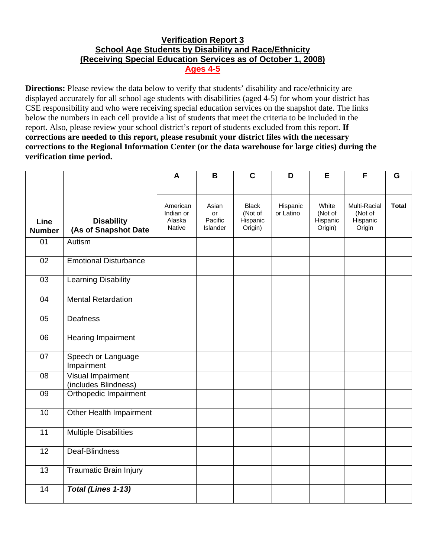# **Verification Report 3 School Age Students by Disability and Race/Ethnicity (Receiving Special Education Services as of October 1, 2008) Ages 4-5**

**Directions:** Please review the data below to verify that students' disability and race/ethnicity are displayed accurately for all school age students with disabilities (aged 4-5) for whom your district has CSE responsibility and who were receiving special education services on the snapshot date. The links below the numbers in each cell provide a list of students that meet the criteria to be included in the report. Also, please review your school district's report of students excluded from this report. **If corrections are needed to this report, please resubmit your district files with the necessary corrections to the Regional Information Center (or the data warehouse for large cities) during the verification time period.**

|                       |                                           | A                                                | B                                         | $\mathbf C$                                    | D                     | Е                                       | F                                             | G            |
|-----------------------|-------------------------------------------|--------------------------------------------------|-------------------------------------------|------------------------------------------------|-----------------------|-----------------------------------------|-----------------------------------------------|--------------|
|                       |                                           |                                                  |                                           |                                                |                       |                                         |                                               |              |
| Line<br><b>Number</b> | <b>Disability</b><br>(As of Snapshot Date | American<br>Indian or<br>Alaska<br><b>Native</b> | Asian<br>or<br>Pacific<br><b>Islander</b> | <b>Black</b><br>(Not of<br>Hispanic<br>Origin) | Hispanic<br>or Latino | White<br>(Not of<br>Hispanic<br>Origin) | Multi-Racial<br>(Not of<br>Hispanic<br>Origin | <b>Total</b> |
| 01                    | Autism                                    |                                                  |                                           |                                                |                       |                                         |                                               |              |
| $\overline{02}$       | <b>Emotional Disturbance</b>              |                                                  |                                           |                                                |                       |                                         |                                               |              |
| 03                    | <b>Learning Disability</b>                |                                                  |                                           |                                                |                       |                                         |                                               |              |
| 04                    | <b>Mental Retardation</b>                 |                                                  |                                           |                                                |                       |                                         |                                               |              |
| 05                    | Deafness                                  |                                                  |                                           |                                                |                       |                                         |                                               |              |
| 06                    | <b>Hearing Impairment</b>                 |                                                  |                                           |                                                |                       |                                         |                                               |              |
| 07                    | Speech or Language<br>Impairment          |                                                  |                                           |                                                |                       |                                         |                                               |              |
| 08                    | Visual Impairment<br>(includes Blindness) |                                                  |                                           |                                                |                       |                                         |                                               |              |
| 09                    | Orthopedic Impairment                     |                                                  |                                           |                                                |                       |                                         |                                               |              |
| 10                    | Other Health Impairment                   |                                                  |                                           |                                                |                       |                                         |                                               |              |
| 11                    | <b>Multiple Disabilities</b>              |                                                  |                                           |                                                |                       |                                         |                                               |              |
| 12                    | Deaf-Blindness                            |                                                  |                                           |                                                |                       |                                         |                                               |              |
| $\overline{13}$       | <b>Traumatic Brain Injury</b>             |                                                  |                                           |                                                |                       |                                         |                                               |              |
| 14                    | <b>Total (Lines 1-13)</b>                 |                                                  |                                           |                                                |                       |                                         |                                               |              |